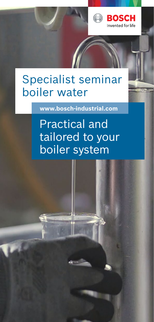

# Specialist seminar boiler water

**www.bosch-industrial.com**

Practical and tailored to your boiler system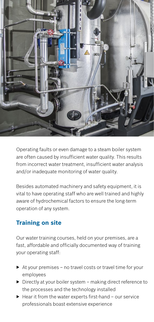

Operating faults or even damage to a steam boiler system are often caused by insufficient water quality. This results from incorrect water treatment, insufficient water analysis and/or inadequate monitoring of water quality.

Besides automated machinery and safety equipment, it is vital to have operating staff who are well trained and highly aware of hydrochemical factors to ensure the long-term operation of any system.

## **Training on site**

Our water training courses, held on your premises, are a fast, affordable and officially documented way of training your operating staff:

- $\triangleright$  At your premises no travel costs or travel time for your employees
- ▶ Directly at your boiler system making direct reference to the processes and the technology installed
- $\blacktriangleright$  Hear it from the water experts first-hand  $-$  our service professionals boast extensive experience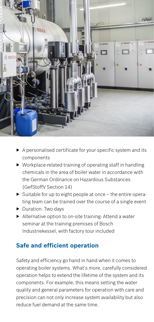

- ▶ A personalised certificate for your specific system and its components
- ▶ Workplace-related training of operating staff in handling chemicals in the area of boiler water in accordance with the German Ordinance on Hazardous Substances (GefStoffV Section 14)
- $\triangleright$  Suitable for up to eight people at once the entire operating team can be trained over the course of a single event
- ▶ Duration: Two days
- ▶ Alternative option to on-site training: Attend a water seminar at the training premises of Bosch Industriekessel, with factory tour included

### **Safe and efficient operation**

Safety and efficiency go hand in hand when it comes to operating boiler systems. What's more, carefully considered operation helps to extend the lifetime of the system and its components. For example, this means setting the water quality and general parameters for operation with care and precision can not only increase system availability but also reduce fuel demand at the same time.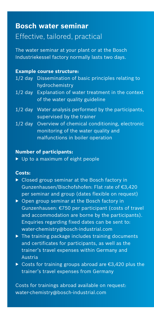# **Bosch water seminar** Effective, tailored, practical

The water seminar at your plant or at the Bosch Industriekessel factory normally lasts two days.

#### **Example course structure:**

- 1/2 day Dissemination of basic principles relating to hydrochemistry
- 1/2 day Explanation of water treatment in the context of the water quality guideline
- 1/2 day Water analysis performed by the participants, supervised by the trainer
- 1/2 day Overview of chemical conditioning, electronic monitoring of the water quality and malfunctions in boiler operation

#### **Number of participants:**

▶ Up to a maximum of eight people

#### **Costs:**

- ▶ Closed group seminar at the Bosch factory in Gunzenhausen/Bischofshofen: Flat rate of €3,420 per seminar and group (dates flexible on request)
- ▶ Open group seminar at the Bosch factory in Gunzenhausen: €750 per participant (costs of travel and accommodation are borne by the participants). Enquiries regarding fixed dates can be sent to: water-chemistry@bosch-industrial.com
- $\triangleright$  The training package includes training documents and certificates for participants, as well as the trainer's travel expenses within Germany and Austria
- ▶ Costs for training groups abroad are €3,420 plus the trainer's travel expenses from Germany

Costs for trainings abroad available on request: water-chemistry@bosch-industrial.com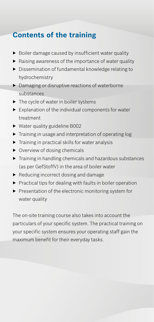# **Contents of the training**

- ▶ Boiler damage caused by insufficient water quality
- ▶ Raising awareness of the importance of water quality
- ▶ Dissemination of fundamental knowledge relating to hydrochemistry
- ▶ Damaging or disruptive reactions of waterborne substances
- ▶ The cycle of water in boiler systems
- $\blacktriangleright$  Explanation of the individual components for water treatment
- ▶ Water quality guideline B002
- ▶ Training in usage and interpretation of operating log
- $\blacktriangleright$  Training in practical skills for water analysis
- ▶ Overview of dosing chemicals
- ▶ Training in handling chemicals and hazardous substances (as per GefStoffV) in the area of boiler water
- ▶ Reducing incorrect dosing and damage
- $\blacktriangleright$  Practical tips for dealing with faults in boiler operation
- ▶ Presentation of the electronic monitoring system for water quality

The on-site training course also takes into account the particulars of your specific system. The practical training on your specific system ensures your operating staff gain the maximum benefit for their everyday tasks.